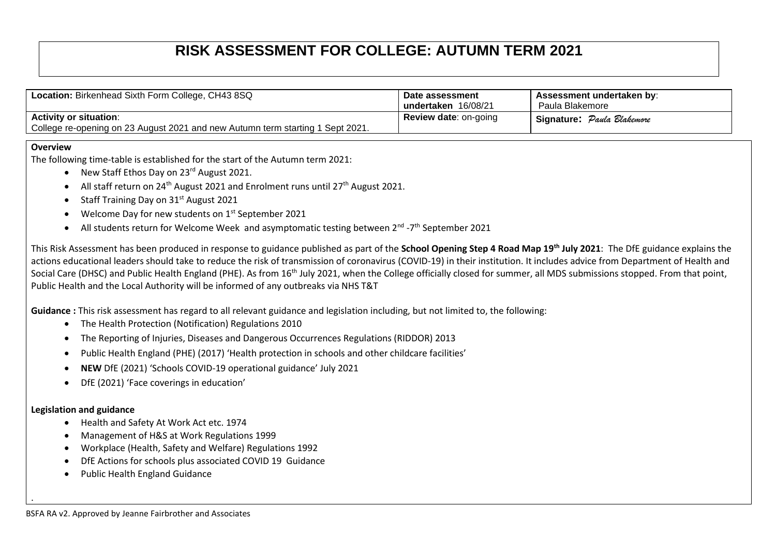## **RISK ASSESSMENT FOR COLLEGE: AUTUMN TERM 2021**

| Location: Birkenhead Sixth Form College, CH43 8SQ                                                               | Date assessment<br>undertaken 16/08/21 | Assessment undertaken by:<br>Paula Blakemore |
|-----------------------------------------------------------------------------------------------------------------|----------------------------------------|----------------------------------------------|
| <b>Activity or situation:</b><br>College re-opening on 23 August 2021 and new Autumn term starting 1 Sept 2021. | <b>Review date: on-going</b>           | Signature: Paula Blakemore                   |

## **Overview**

The following time-table is established for the start of the Autumn term 2021:

- New Staff Ethos Day on 23rd August 2021.
- All staff return on  $24^{th}$  August 2021 and Enrolment runs until  $27^{th}$  August 2021.
- Staff Training Day on 31<sup>st</sup> August 2021
- Welcome Day for new students on  $1<sup>st</sup>$  September 2021
- All students return for Welcome Week and asymptomatic testing between 2<sup>nd</sup> -7<sup>th</sup> September 2021

This Risk Assessment has been produced in response to guidance published as part of the **School Opening Step 4 Road Map 19th July 2021**: The DfE guidance explains the actions educational leaders should take to reduce the risk of transmission of coronavirus (COVID-19) in their institution. It includes advice from Department of Health and Social Care (DHSC) and Public Health England (PHE). As from 16<sup>th</sup> July 2021, when the College officially closed for summer, all MDS submissions stopped. From that point, Public Health and the Local Authority will be informed of any outbreaks via NHS T&T

**Guidance :** This risk assessment has regard to all relevant guidance and legislation including, but not limited to, the following:

- The Health Protection (Notification) Regulations 2010
- The Reporting of Injuries, Diseases and Dangerous Occurrences Regulations (RIDDOR) 2013
- Public Health England (PHE) (2017) 'Health protection in schools and other childcare facilities'
- **NEW** DfE (2021) 'Schools COVID-19 operational guidance' July 2021
- DfE (2021) 'Face coverings in education'

## **Legislation and guidance**

.

- Health and Safety At Work Act etc. 1974
- Management of H&S at Work Regulations 1999
- Workplace (Health, Safety and Welfare) Regulations 1992
- DfE Actions for schools plus associated COVID 19 Guidance
- Public Health England Guidance

BSFA RA v2. Approved by Jeanne Fairbrother and Associates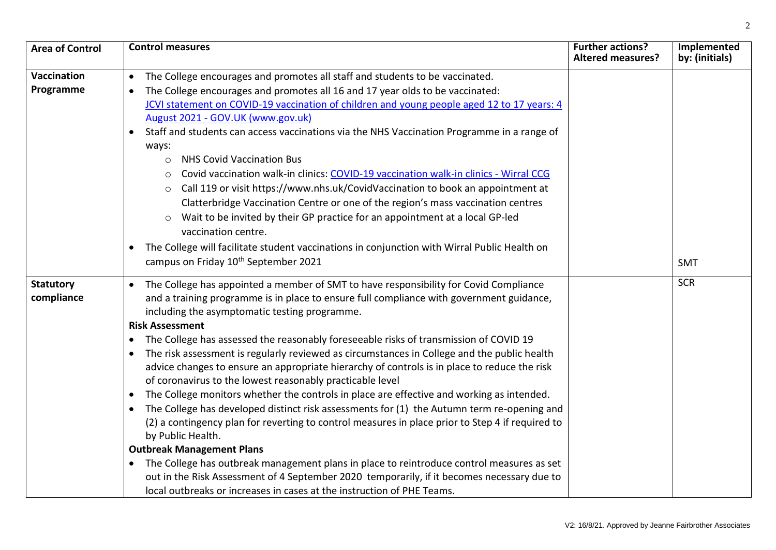| <b>Area of Control</b> | <b>Control measures</b>                                                                                   | <b>Further actions?</b><br><b>Altered measures?</b> | Implemented<br>by: (initials) |
|------------------------|-----------------------------------------------------------------------------------------------------------|-----------------------------------------------------|-------------------------------|
|                        |                                                                                                           |                                                     |                               |
| <b>Vaccination</b>     | The College encourages and promotes all staff and students to be vaccinated.<br>$\bullet$                 |                                                     |                               |
| Programme              | The College encourages and promotes all 16 and 17 year olds to be vaccinated:                             |                                                     |                               |
|                        | JCVI statement on COVID-19 vaccination of children and young people aged 12 to 17 years: 4                |                                                     |                               |
|                        | August 2021 - GOV.UK (www.gov.uk)                                                                         |                                                     |                               |
|                        | Staff and students can access vaccinations via the NHS Vaccination Programme in a range of                |                                                     |                               |
|                        | ways:                                                                                                     |                                                     |                               |
|                        | <b>NHS Covid Vaccination Bus</b><br>$\circ$                                                               |                                                     |                               |
|                        | Covid vaccination walk-in clinics: COVID-19 vaccination walk-in clinics - Wirral CCG<br>$\circ$           |                                                     |                               |
|                        | Call 119 or visit https://www.nhs.uk/CovidVaccination to book an appointment at                           |                                                     |                               |
|                        | Clatterbridge Vaccination Centre or one of the region's mass vaccination centres                          |                                                     |                               |
|                        | Wait to be invited by their GP practice for an appointment at a local GP-led<br>$\circ$                   |                                                     |                               |
|                        | vaccination centre.                                                                                       |                                                     |                               |
|                        | The College will facilitate student vaccinations in conjunction with Wirral Public Health on<br>$\bullet$ |                                                     |                               |
|                        | campus on Friday 10 <sup>th</sup> September 2021                                                          |                                                     | <b>SMT</b>                    |
|                        |                                                                                                           |                                                     |                               |
| <b>Statutory</b>       | The College has appointed a member of SMT to have responsibility for Covid Compliance                     |                                                     | <b>SCR</b>                    |
| compliance             | and a training programme is in place to ensure full compliance with government guidance,                  |                                                     |                               |
|                        | including the asymptomatic testing programme.                                                             |                                                     |                               |
|                        | <b>Risk Assessment</b>                                                                                    |                                                     |                               |
|                        | The College has assessed the reasonably foreseeable risks of transmission of COVID 19                     |                                                     |                               |
|                        | The risk assessment is regularly reviewed as circumstances in College and the public health               |                                                     |                               |
|                        | advice changes to ensure an appropriate hierarchy of controls is in place to reduce the risk              |                                                     |                               |
|                        | of coronavirus to the lowest reasonably practicable level                                                 |                                                     |                               |
|                        | The College monitors whether the controls in place are effective and working as intended.<br>$\bullet$    |                                                     |                               |
|                        | The College has developed distinct risk assessments for (1) the Autumn term re-opening and<br>$\bullet$   |                                                     |                               |
|                        | (2) a contingency plan for reverting to control measures in place prior to Step 4 if required to          |                                                     |                               |
|                        | by Public Health.                                                                                         |                                                     |                               |
|                        | <b>Outbreak Management Plans</b>                                                                          |                                                     |                               |
|                        | The College has outbreak management plans in place to reintroduce control measures as set                 |                                                     |                               |
|                        | out in the Risk Assessment of 4 September 2020 temporarily, if it becomes necessary due to                |                                                     |                               |
|                        | local outbreaks or increases in cases at the instruction of PHE Teams.                                    |                                                     |                               |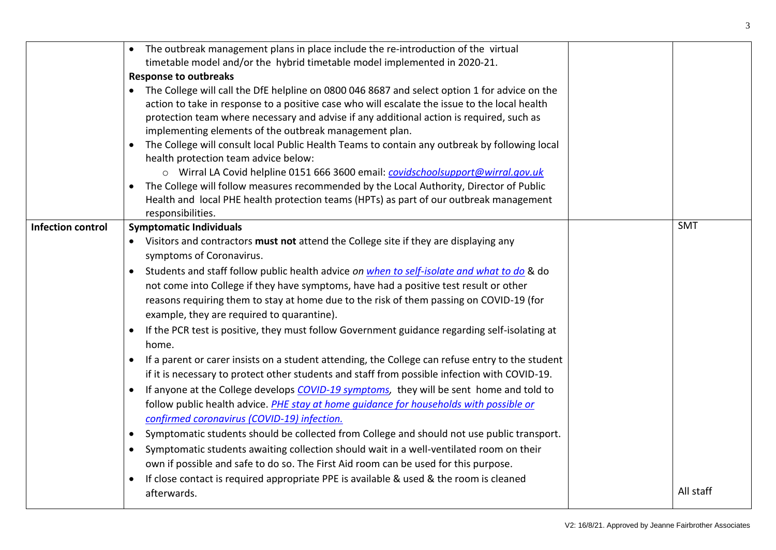|                          | The outbreak management plans in place include the re-introduction of the virtual<br>timetable model and/or the hybrid timetable model implemented in 2020-21.<br><b>Response to outbreaks</b><br>• The College will call the DfE helpline on 0800 046 8687 and select option 1 for advice on the<br>action to take in response to a positive case who will escalate the issue to the local health<br>protection team where necessary and advise if any additional action is required, such as<br>implementing elements of the outbreak management plan.<br>The College will consult local Public Health Teams to contain any outbreak by following local<br>health protection team advice below:<br>o Wirral LA Covid helpline 0151 666 3600 email: covidschoolsupport@wirral.gov.uk<br>The College will follow measures recommended by the Local Authority, Director of Public<br>$\bullet$<br>Health and local PHE health protection teams (HPTs) as part of our outbreak management<br>responsibilities.                                                                                                                                                                                                                                                                                                                                                                                                                                                            |                         |
|--------------------------|-------------------------------------------------------------------------------------------------------------------------------------------------------------------------------------------------------------------------------------------------------------------------------------------------------------------------------------------------------------------------------------------------------------------------------------------------------------------------------------------------------------------------------------------------------------------------------------------------------------------------------------------------------------------------------------------------------------------------------------------------------------------------------------------------------------------------------------------------------------------------------------------------------------------------------------------------------------------------------------------------------------------------------------------------------------------------------------------------------------------------------------------------------------------------------------------------------------------------------------------------------------------------------------------------------------------------------------------------------------------------------------------------------------------------------------------------------------------------|-------------------------|
| <b>Infection control</b> | <b>Symptomatic Individuals</b><br>• Visitors and contractors must not attend the College site if they are displaying any<br>symptoms of Coronavirus.<br>Students and staff follow public health advice on when to self-isolate and what to do & do<br>not come into College if they have symptoms, have had a positive test result or other<br>reasons requiring them to stay at home due to the risk of them passing on COVID-19 (for<br>example, they are required to quarantine).<br>If the PCR test is positive, they must follow Government guidance regarding self-isolating at<br>home.<br>If a parent or carer insists on a student attending, the College can refuse entry to the student<br>$\bullet$<br>if it is necessary to protect other students and staff from possible infection with COVID-19.<br>If anyone at the College develops COVID-19 symptoms, they will be sent home and told to<br>follow public health advice. PHE stay at home quidance for households with possible or<br>confirmed coronavirus (COVID-19) infection.<br>Symptomatic students should be collected from College and should not use public transport.<br>$\bullet$<br>Symptomatic students awaiting collection should wait in a well-ventilated room on their<br>$\bullet$<br>own if possible and safe to do so. The First Aid room can be used for this purpose.<br>If close contact is required appropriate PPE is available & used & the room is cleaned<br>afterwards. | <b>SMT</b><br>All staff |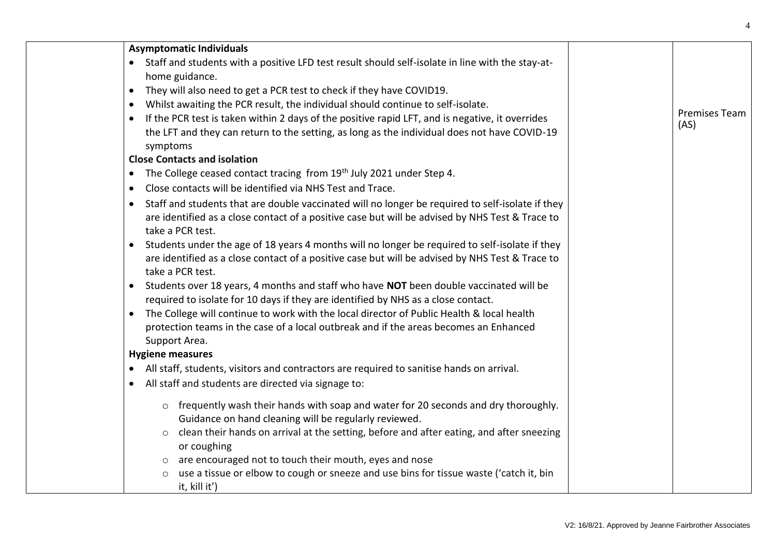| <b>Asymptomatic Individuals</b>                                                                                                                                                |                              |
|--------------------------------------------------------------------------------------------------------------------------------------------------------------------------------|------------------------------|
| Staff and students with a positive LFD test result should self-isolate in line with the stay-at-                                                                               |                              |
| home guidance.                                                                                                                                                                 |                              |
| They will also need to get a PCR test to check if they have COVID19.<br>$\bullet$                                                                                              |                              |
| Whilst awaiting the PCR result, the individual should continue to self-isolate.<br>$\bullet$                                                                                   |                              |
| If the PCR test is taken within 2 days of the positive rapid LFT, and is negative, it overrides<br>$\bullet$                                                                   | <b>Premises Team</b><br>(AS) |
| the LFT and they can return to the setting, as long as the individual does not have COVID-19                                                                                   |                              |
| symptoms                                                                                                                                                                       |                              |
| <b>Close Contacts and isolation</b>                                                                                                                                            |                              |
| The College ceased contact tracing from 19th July 2021 under Step 4.<br>$\bullet$                                                                                              |                              |
| Close contacts will be identified via NHS Test and Trace.<br>$\bullet$                                                                                                         |                              |
| Staff and students that are double vaccinated will no longer be required to self-isolate if they                                                                               |                              |
| are identified as a close contact of a positive case but will be advised by NHS Test & Trace to                                                                                |                              |
| take a PCR test.                                                                                                                                                               |                              |
| Students under the age of 18 years 4 months will no longer be required to self-isolate if they<br>$\bullet$                                                                    |                              |
| are identified as a close contact of a positive case but will be advised by NHS Test & Trace to                                                                                |                              |
| take a PCR test.                                                                                                                                                               |                              |
| Students over 18 years, 4 months and staff who have NOT been double vaccinated will be<br>$\bullet$                                                                            |                              |
| required to isolate for 10 days if they are identified by NHS as a close contact.<br>The College will continue to work with the local director of Public Health & local health |                              |
| protection teams in the case of a local outbreak and if the areas becomes an Enhanced                                                                                          |                              |
| Support Area.                                                                                                                                                                  |                              |
| <b>Hygiene measures</b>                                                                                                                                                        |                              |
| All staff, students, visitors and contractors are required to sanitise hands on arrival.                                                                                       |                              |
| All staff and students are directed via signage to:<br>$\bullet$                                                                                                               |                              |
|                                                                                                                                                                                |                              |
| frequently wash their hands with soap and water for 20 seconds and dry thoroughly.<br>$\circ$                                                                                  |                              |
| Guidance on hand cleaning will be regularly reviewed.                                                                                                                          |                              |
| clean their hands on arrival at the setting, before and after eating, and after sneezing<br>$\circ$                                                                            |                              |
| or coughing                                                                                                                                                                    |                              |
| are encouraged not to touch their mouth, eyes and nose<br>use a tissue or elbow to cough or sneeze and use bins for tissue waste ('catch it, bin                               |                              |
| it, kill it')                                                                                                                                                                  |                              |
|                                                                                                                                                                                |                              |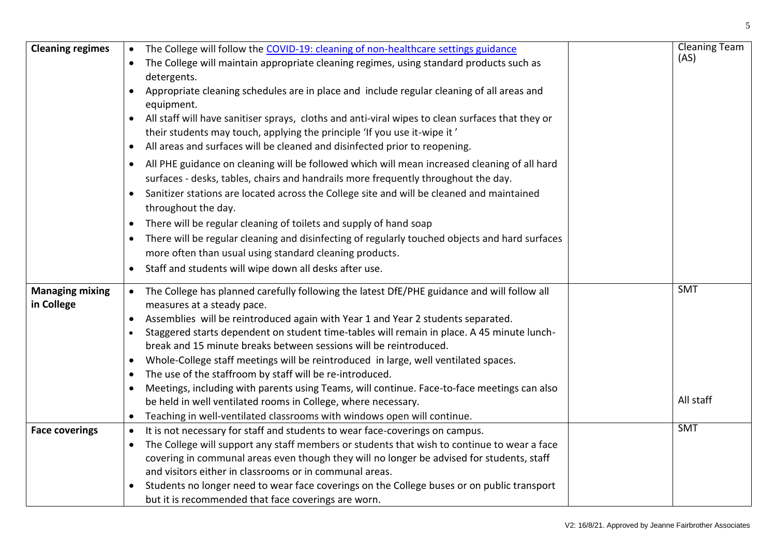| <b>Cleaning regimes</b> | The College will follow the COVID-19: cleaning of non-healthcare settings guidance                       | <b>Cleaning Team</b><br>(AS) |
|-------------------------|----------------------------------------------------------------------------------------------------------|------------------------------|
|                         | The College will maintain appropriate cleaning regimes, using standard products such as                  |                              |
|                         | detergents.                                                                                              |                              |
|                         | Appropriate cleaning schedules are in place and include regular cleaning of all areas and                |                              |
|                         | equipment.                                                                                               |                              |
|                         | All staff will have sanitiser sprays, cloths and anti-viral wipes to clean surfaces that they or         |                              |
|                         | their students may touch, applying the principle 'If you use it-wipe it'                                 |                              |
|                         | All areas and surfaces will be cleaned and disinfected prior to reopening.<br>$\bullet$                  |                              |
|                         | All PHE guidance on cleaning will be followed which will mean increased cleaning of all hard             |                              |
|                         | surfaces - desks, tables, chairs and handrails more frequently throughout the day.                       |                              |
|                         | Sanitizer stations are located across the College site and will be cleaned and maintained                |                              |
|                         | throughout the day.                                                                                      |                              |
|                         | There will be regular cleaning of toilets and supply of hand soap<br>$\bullet$                           |                              |
|                         | There will be regular cleaning and disinfecting of regularly touched objects and hard surfaces           |                              |
|                         | more often than usual using standard cleaning products.                                                  |                              |
|                         | Staff and students will wipe down all desks after use.<br>$\bullet$                                      |                              |
| <b>Managing mixing</b>  | The College has planned carefully following the latest DfE/PHE guidance and will follow all<br>$\bullet$ | <b>SMT</b>                   |
| in College              | measures at a steady pace.                                                                               |                              |
|                         | Assemblies will be reintroduced again with Year 1 and Year 2 students separated.                         |                              |
|                         | Staggered starts dependent on student time-tables will remain in place. A 45 minute lunch-               |                              |
|                         | break and 15 minute breaks between sessions will be reintroduced.                                        |                              |
|                         | Whole-College staff meetings will be reintroduced in large, well ventilated spaces.<br>$\bullet$         |                              |
|                         | The use of the staffroom by staff will be re-introduced.                                                 |                              |
|                         | Meetings, including with parents using Teams, will continue. Face-to-face meetings can also              |                              |
|                         | be held in well ventilated rooms in College, where necessary.                                            | All staff                    |
|                         | Teaching in well-ventilated classrooms with windows open will continue.<br>$\bullet$                     |                              |
| <b>Face coverings</b>   | It is not necessary for staff and students to wear face-coverings on campus.<br>$\bullet$                | <b>SMT</b>                   |
|                         | The College will support any staff members or students that wish to continue to wear a face<br>$\bullet$ |                              |
|                         | covering in communal areas even though they will no longer be advised for students, staff                |                              |
|                         | and visitors either in classrooms or in communal areas.                                                  |                              |
|                         | Students no longer need to wear face coverings on the College buses or on public transport               |                              |
|                         | but it is recommended that face coverings are worn.                                                      |                              |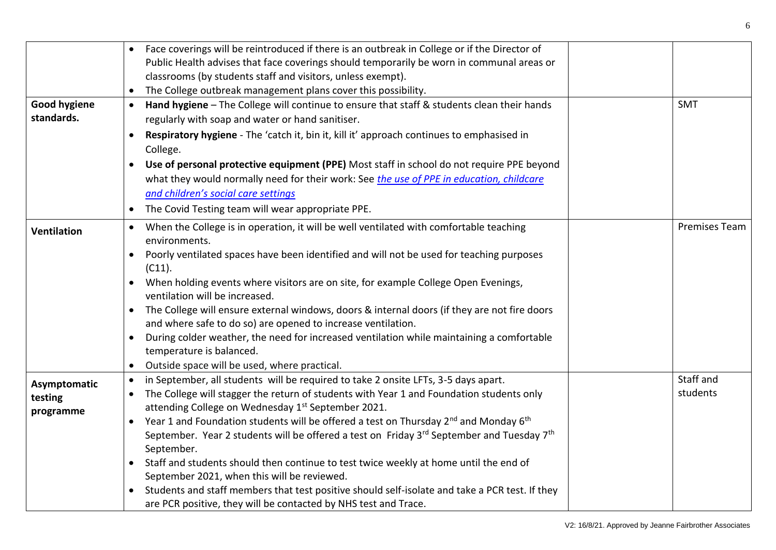|                     | Face coverings will be reintroduced if there is an outbreak in College or if the Director of<br>Public Health advises that face coverings should temporarily be worn in communal areas or |                      |
|---------------------|-------------------------------------------------------------------------------------------------------------------------------------------------------------------------------------------|----------------------|
|                     | classrooms (by students staff and visitors, unless exempt).<br>The College outbreak management plans cover this possibility.                                                              |                      |
| <b>Good hygiene</b> | Hand hygiene - The College will continue to ensure that staff & students clean their hands<br>$\bullet$                                                                                   | <b>SMT</b>           |
| standards.          | regularly with soap and water or hand sanitiser.                                                                                                                                          |                      |
|                     | Respiratory hygiene - The 'catch it, bin it, kill it' approach continues to emphasised in<br>College.                                                                                     |                      |
|                     | Use of personal protective equipment (PPE) Most staff in school do not require PPE beyond<br>$\bullet$                                                                                    |                      |
|                     | what they would normally need for their work: See the use of PPE in education, childcare                                                                                                  |                      |
|                     | and children's social care settings                                                                                                                                                       |                      |
|                     | The Covid Testing team will wear appropriate PPE.                                                                                                                                         |                      |
| <b>Ventilation</b>  | When the College is in operation, it will be well ventilated with comfortable teaching<br>$\bullet$<br>environments.                                                                      | <b>Premises Team</b> |
|                     | Poorly ventilated spaces have been identified and will not be used for teaching purposes                                                                                                  |                      |
|                     | (C11).                                                                                                                                                                                    |                      |
|                     | When holding events where visitors are on site, for example College Open Evenings,<br>$\bullet$<br>ventilation will be increased.                                                         |                      |
|                     | The College will ensure external windows, doors & internal doors (if they are not fire doors<br>$\bullet$<br>and where safe to do so) are opened to increase ventilation.                 |                      |
|                     | During colder weather, the need for increased ventilation while maintaining a comfortable<br>$\bullet$<br>temperature is balanced.                                                        |                      |
|                     | Outside space will be used, where practical.<br>$\bullet$                                                                                                                                 |                      |
| Asymptomatic        | in September, all students will be required to take 2 onsite LFTs, 3-5 days apart.<br>$\bullet$                                                                                           | Staff and            |
| testing             | The College will stagger the return of students with Year 1 and Foundation students only<br>$\bullet$                                                                                     | students             |
| programme           | attending College on Wednesday 1 <sup>st</sup> September 2021.                                                                                                                            |                      |
|                     | Year 1 and Foundation students will be offered a test on Thursday 2 <sup>nd</sup> and Monday 6 <sup>th</sup><br>$\bullet$                                                                 |                      |
|                     | September. Year 2 students will be offered a test on Friday 3rd September and Tuesday 7th                                                                                                 |                      |
|                     | September.                                                                                                                                                                                |                      |
|                     | Staff and students should then continue to test twice weekly at home until the end of<br>$\bullet$<br>September 2021, when this will be reviewed.                                         |                      |
|                     | Students and staff members that test positive should self-isolate and take a PCR test. If they<br>$\bullet$                                                                               |                      |
|                     | are PCR positive, they will be contacted by NHS test and Trace.                                                                                                                           |                      |